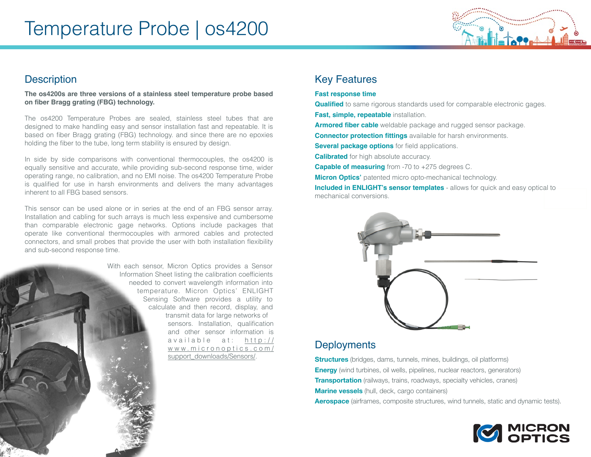

## **Description**

**The os4200s are three versions of a stainless steel temperature probe based on fiber Bragg grating (FBG) technology.**

The os4200 Temperature Probes are sealed, stainless steel tubes that are designed to make handling easy and sensor installation fast and repeatable. It is based on fiber Bragg grating (FBG) technology. and since there are no epoxies holding the fiber to the tube, long term stability is ensured by design.

In side by side comparisons with conventional thermocouples, the os4200 is equally sensitive and accurate, while providing sub-second response time, wider operating range, no calibration, and no EMI noise. The os4200 Temperature Probe is qualified for use in harsh environments and delivers the many advantages inherent to all FBG based sensors.

This sensor can be used alone or in series at the end of an FBG sensor array. Installation and cabling for such arrays is much less expensive and cumbersome than comparable electronic gage networks. Options include packages that operate like conventional thermocouples with armored cables and protected connectors, and small probes that provide the user with both installation flexibility and sub-second response time.



# Key Features

### **Fast response time**

**Qualified** to same rigorous standards used for comparable electronic gages. **Fast, simple, repeatable** installation.

**Armored fiber cable** weldable package and rugged sensor package.

**Connector protection fittings** available for harsh environments.

**Several package options** for field applications.

**Calibrated** for high absolute accuracy.

**Capable of measuring** from -70 to +275 degrees C.

**Micron Optics'** patented micro opto-mechanical technology.

**Included in ENLIGHT's sensor templates** - allows for quick and easy optical to mechanical conversions.



## **Deployments**

**Structures** (bridges, dams, tunnels, mines, buildings, oil platforms) **Energy** (wind turbines, oil wells, pipelines, nuclear reactors, generators) **Transportation** (railways, trains, roadways, specialty vehicles, cranes) **Marine vessels** (hull, deck, cargo containers) **Aerospace** (airframes, composite structures, wind tunnels, static and dynamic tests).